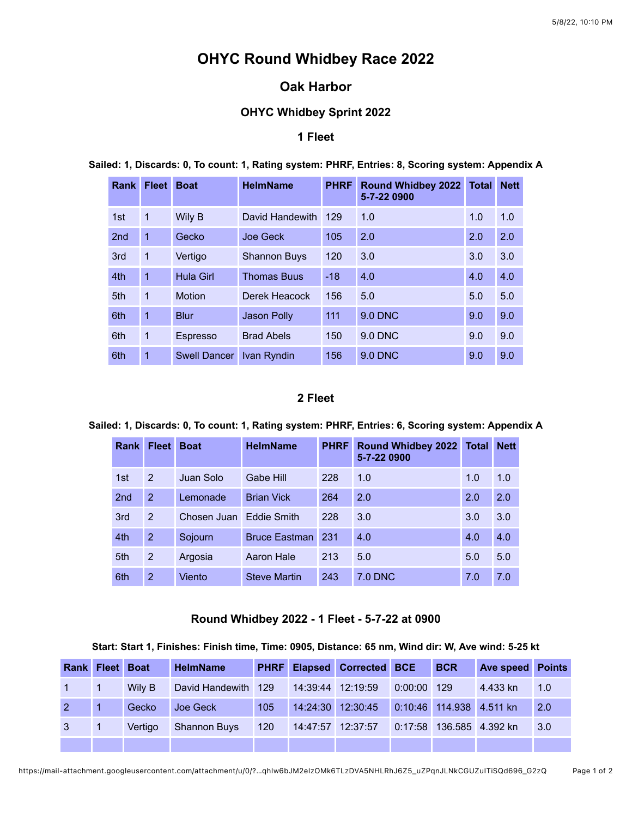# **OHYC Round Whidbey Race 2022**

## **Oak Harbor**

## **OHYC Whidbey Sprint 2022**

### **1 Fleet**

| Rank            | <b>Fleet</b>   | <b>Boat</b>         | <b>HelmName</b>     | <b>PHRF</b> | <b>Round Whidbey 2022</b><br>5-7-22 0900 | <b>Total</b> | <b>Nett</b> |
|-----------------|----------------|---------------------|---------------------|-------------|------------------------------------------|--------------|-------------|
| 1st             | 1              | Wily B              | David Handewith     | 129         | 1.0                                      | 1.0          | 1.0         |
| 2 <sub>nd</sub> | 1              | Gecko               | Joe Geck            | 105         | 2.0                                      | 2.0          | 2.0         |
| 3rd             | 1              | Vertigo             | <b>Shannon Buys</b> | 120         | 3.0                                      | 3.0          | 3.0         |
| 4th             | $\overline{1}$ | Hula Girl           | <b>Thomas Buus</b>  | $-18$       | 4.0                                      | 4.0          | 4.0         |
| 5th             | 1              | <b>Motion</b>       | Derek Heacock       | 156         | 5.0                                      | 5.0          | 5.0         |
| 6th             | 1              | <b>Blur</b>         | Jason Polly         | 111         | 9.0 DNC                                  | 9.0          | 9.0         |
| 6th             | 1              | Espresso            | <b>Brad Abels</b>   | 150         | 9.0 DNC                                  | 9.0          | 9.0         |
| 6th             | 1              | <b>Swell Dancer</b> | Ivan Ryndin         | 156         | 9.0 DNC                                  | 9.0          | 9.0         |

**Sailed: 1, Discards: 0, To count: 1, Rating system: PHRF, Entries: 8, Scoring system: Appendix A**

#### **2 Fleet**

### **Sailed: 1, Discards: 0, To count: 1, Rating system: PHRF, Entries: 6, Scoring system: Appendix A**

| <b>Rank</b>     | <b>Fleet</b>   | <b>Boat</b> | <b>HelmName</b>      | <b>PHRF</b> | <b>Round Whidbey 2022</b><br>5-7-22 0900 | <b>Total</b> | <b>Nett</b> |
|-----------------|----------------|-------------|----------------------|-------------|------------------------------------------|--------------|-------------|
| 1st             | 2              | Juan Solo   | Gabe Hill            | 228         | 1.0                                      | 1.0          | 1.0         |
| 2 <sub>nd</sub> | $\overline{2}$ | Lemonade    | <b>Brian Vick</b>    | 264         | 2.0                                      | 2.0          | 2.0         |
| 3rd             | $\overline{2}$ | Chosen Juan | <b>Eddie Smith</b>   | 228         | 3.0                                      | 3.0          | 3.0         |
| 4th             | $\overline{2}$ | Sojourn     | <b>Bruce Eastman</b> | 231         | 4.0                                      | 4.0          | 4.0         |
| 5th             | 2              | Argosia     | <b>Aaron Hale</b>    | 213         | 5.0                                      | 5.0          | 5.0         |
| 6th             | $\overline{2}$ | Viento      | <b>Steve Martin</b>  | 243         | 7.0 DNC                                  | 7.0          | 7.0         |

### **Round Whidbey 2022 - 1 Fleet - 5-7-22 at 0900**

#### **Start: Start 1, Finishes: Finish time, Time: 0905, Distance: 65 nm, Wind dir: W, Ave wind: 5-25 kt**

|            | <b>Rank Fleet Boat</b> |         | <b>HelmName</b>     |     |                   | <b>PHRF Elapsed Corrected BCE</b> |               | <b>BCR</b> | <b>Ave speed Points</b>  |                    |
|------------|------------------------|---------|---------------------|-----|-------------------|-----------------------------------|---------------|------------|--------------------------|--------------------|
|            |                        | Wily B  | David Handewith 129 |     | 14:39:44 12:19:59 |                                   | $0:00:00$ 129 |            | 4.433 kn                 | $\blacksquare$ 1.0 |
| $2 \mid 1$ |                        | Gecko   | Joe Geck            | 105 |                   | 14:24:30 12:30:45                 |               |            | 0:10:46 114.938 4.511 kn | $\blacksquare$ 2.0 |
|            |                        | Vertigo | <b>Shannon Buys</b> | 120 |                   | 14:47:57 12:37:57                 |               |            | 0:17:58 136.585 4.392 kn | $\vert 3.0 \vert$  |
|            |                        |         |                     |     |                   |                                   |               |            |                          |                    |